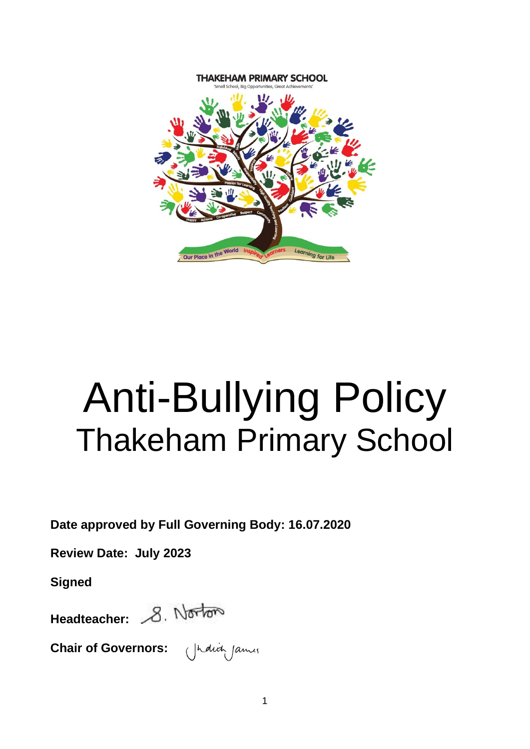

# Anti-Bullying Policy Thakeham Primary School

**Date approved by Full Governing Body: 16.07.2020**

**Review Date: July 2023**

**Signed**

Headteacher: 8. Norton

**Chair of Governors:** 

1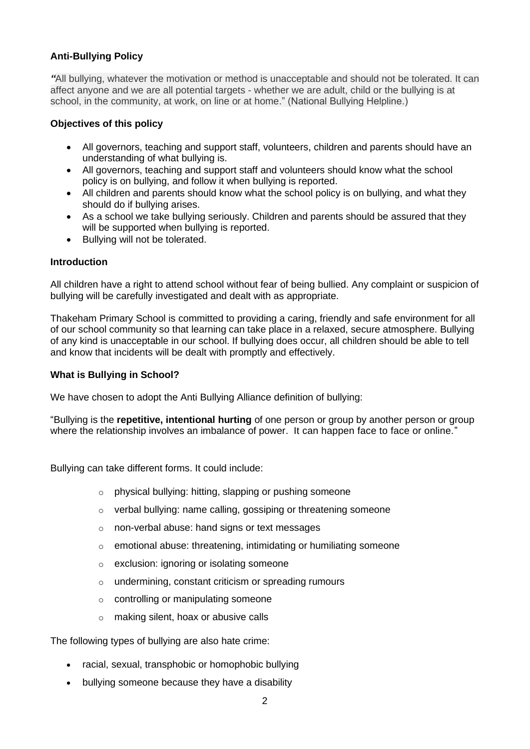# **Anti-Bullying Policy**

*"*All bullying, whatever the motivation or method is unacceptable and should not be tolerated. It can affect anyone and we are all potential targets - whether we are adult, child or the bullying is at school, in the community, at work, on line or at home." (National Bullying Helpline.)

#### **Objectives of this policy**

- All governors, teaching and support staff, volunteers, children and parents should have an understanding of what bullying is.
- All governors, teaching and support staff and volunteers should know what the school policy is on bullying, and follow it when bullying is reported.
- All children and parents should know what the school policy is on bullying, and what they should do if bullying arises.
- As a school we take bullying seriously. Children and parents should be assured that they will be supported when bullying is reported.
- Bullying will not be tolerated.

#### **Introduction**

All children have a right to attend school without fear of being bullied. Any complaint or suspicion of bullying will be carefully investigated and dealt with as appropriate.

Thakeham Primary School is committed to providing a caring, friendly and safe environment for all of our school community so that learning can take place in a relaxed, secure atmosphere. Bullying of any kind is unacceptable in our school. If bullying does occur, all children should be able to tell and know that incidents will be dealt with promptly and effectively.

#### **What is Bullying in School?**

We have chosen to adopt the Anti Bullying Alliance definition of bullying:

"Bullying is the **repetitive, intentional hurting** of one person or group by another person or group where the relationship involves an imbalance of power. It can happen face to face or online."

Bullying can take different forms. It could include:

- o physical bullying: hitting, slapping or pushing someone
- o verbal bullying: name calling, gossiping or threatening someone
- o non-verbal abuse: hand signs or text messages
- o emotional abuse: threatening, intimidating or humiliating someone
- o exclusion: ignoring or isolating someone
- o undermining, constant criticism or spreading rumours
- o controlling or manipulating someone
- o making silent, hoax or abusive calls

The following types of bullying are also hate crime:

- racial, sexual, transphobic or homophobic bullying
- bullying someone because they have a disability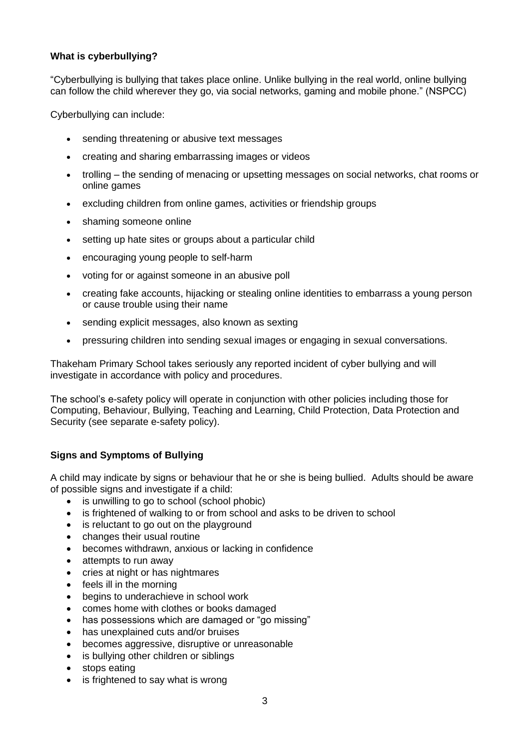## **What is cyberbullying?**

"Cyberbullying is bullying that takes place online. Unlike bullying in the real world, online bullying can follow the child wherever they go, via social networks, gaming and mobile phone." (NSPCC)

Cyberbullying can include:

- sending threatening or abusive text messages
- creating and sharing embarrassing images or videos
- trolling the sending of menacing or upsetting messages on social networks, chat rooms or online games
- excluding children from online games, activities or friendship groups
- shaming someone online
- setting up hate sites or groups about a particular child
- encouraging young people to self-harm
- voting for or against someone in an abusive poll
- creating fake accounts, hijacking or stealing online identities to embarrass a young person or cause trouble using their name
- sending explicit messages, also known as sexting
- pressuring children into sending sexual images or engaging in sexual conversations.

Thakeham Primary School takes seriously any reported incident of cyber bullying and will investigate in accordance with policy and procedures.

The school's e-safety policy will operate in conjunction with other policies including those for Computing, Behaviour, Bullying, Teaching and Learning, Child Protection, Data Protection and Security (see separate e-safety policy).

# **Signs and Symptoms of Bullying**

A child may indicate by signs or behaviour that he or she is being bullied. Adults should be aware of possible signs and investigate if a child:

- is unwilling to go to school (school phobic)
- is frightened of walking to or from school and asks to be driven to school
- is reluctant to go out on the playground
- changes their usual routine
- becomes withdrawn, anxious or lacking in confidence
- attempts to run away
- cries at night or has nightmares
- feels ill in the morning
- begins to underachieve in school work
- comes home with clothes or books damaged
- has possessions which are damaged or "go missing"
- has unexplained cuts and/or bruises
- becomes aggressive, disruptive or unreasonable
- is bullying other children or siblings
- stops eating
- is frightened to say what is wrong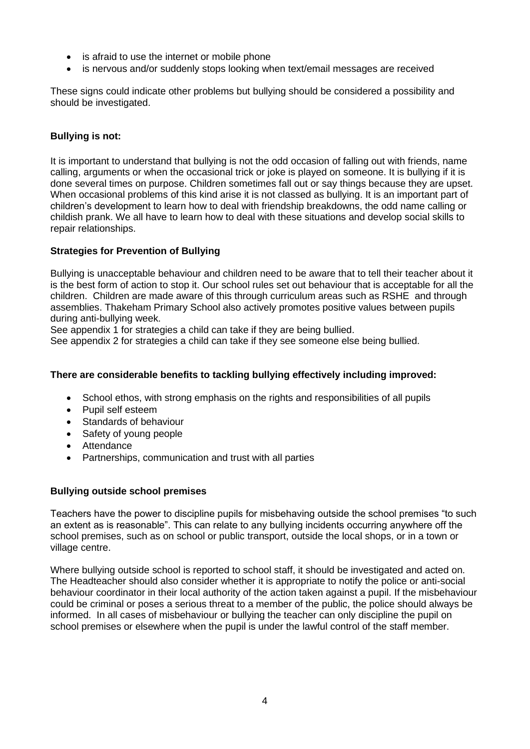- is afraid to use the internet or mobile phone
- is nervous and/or suddenly stops looking when text/email messages are received

These signs could indicate other problems but bullying should be considered a possibility and should be investigated.

#### **Bullying is not:**

It is important to understand that bullying is not the odd occasion of falling out with friends, name calling, arguments or when the occasional trick or joke is played on someone. It is bullying if it is done several times on purpose. Children sometimes fall out or say things because they are upset. When occasional problems of this kind arise it is not classed as bullying. It is an important part of children's development to learn how to deal with friendship breakdowns, the odd name calling or childish prank. We all have to learn how to deal with these situations and develop social skills to repair relationships.

### **Strategies for Prevention of Bullying**

Bullying is unacceptable behaviour and children need to be aware that to tell their teacher about it is the best form of action to stop it. Our school rules set out behaviour that is acceptable for all the children. Children are made aware of this through curriculum areas such as RSHE and through assemblies. Thakeham Primary School also actively promotes positive values between pupils during anti-bullying week.

See appendix 1 for strategies a child can take if they are being bullied.

See appendix 2 for strategies a child can take if they see someone else being bullied.

#### **There are considerable benefits to tackling bullying effectively including improved:**

- School ethos, with strong emphasis on the rights and responsibilities of all pupils
- Pupil self esteem
- Standards of behaviour
- Safety of young people
- Attendance
- Partnerships, communication and trust with all parties

#### **Bullying outside school premises**

Teachers have the power to discipline pupils for misbehaving outside the school premises "to such an extent as is reasonable". This can relate to any bullying incidents occurring anywhere off the school premises, such as on school or public transport, outside the local shops, or in a town or village centre.

Where bullying outside school is reported to school staff, it should be investigated and acted on. The Headteacher should also consider whether it is appropriate to notify the police or anti-social behaviour coordinator in their local authority of the action taken against a pupil. If the misbehaviour could be criminal or poses a serious threat to a member of the public, the police should always be informed. In all cases of misbehaviour or bullying the teacher can only discipline the pupil on school premises or elsewhere when the pupil is under the lawful control of the staff member.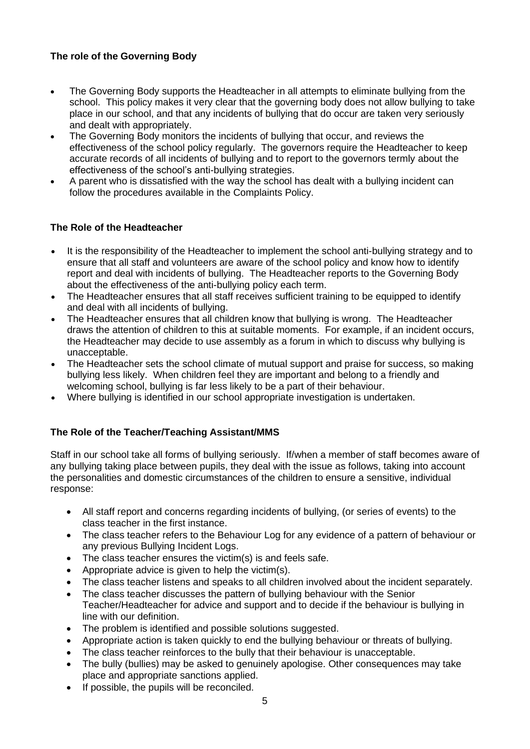# **The role of the Governing Body**

- The Governing Body supports the Headteacher in all attempts to eliminate bullying from the school. This policy makes it very clear that the governing body does not allow bullying to take place in our school, and that any incidents of bullying that do occur are taken very seriously and dealt with appropriately.
- The Governing Body monitors the incidents of bullying that occur, and reviews the effectiveness of the school policy regularly. The governors require the Headteacher to keep accurate records of all incidents of bullying and to report to the governors termly about the effectiveness of the school's anti-bullying strategies.
- A parent who is dissatisfied with the way the school has dealt with a bullying incident can follow the procedures available in the Complaints Policy.

# **The Role of the Headteacher**

- It is the responsibility of the Headteacher to implement the school anti-bullying strategy and to ensure that all staff and volunteers are aware of the school policy and know how to identify report and deal with incidents of bullying. The Headteacher reports to the Governing Body about the effectiveness of the anti-bullying policy each term.
- The Headteacher ensures that all staff receives sufficient training to be equipped to identify and deal with all incidents of bullying.
- The Headteacher ensures that all children know that bullying is wrong. The Headteacher draws the attention of children to this at suitable moments. For example, if an incident occurs, the Headteacher may decide to use assembly as a forum in which to discuss why bullying is unacceptable.
- The Headteacher sets the school climate of mutual support and praise for success, so making bullying less likely. When children feel they are important and belong to a friendly and welcoming school, bullying is far less likely to be a part of their behaviour.
- Where bullying is identified in our school appropriate investigation is undertaken.

# **The Role of the Teacher/Teaching Assistant/MMS**

Staff in our school take all forms of bullying seriously. If/when a member of staff becomes aware of any bullying taking place between pupils, they deal with the issue as follows, taking into account the personalities and domestic circumstances of the children to ensure a sensitive, individual response:

- All staff report and concerns regarding incidents of bullying, (or series of events) to the class teacher in the first instance.
- The class teacher refers to the Behaviour Log for any evidence of a pattern of behaviour or any previous Bullying Incident Logs.
- The class teacher ensures the victim(s) is and feels safe.
- Appropriate advice is given to help the victim(s).
- The class teacher listens and speaks to all children involved about the incident separately.
- The class teacher discusses the pattern of bullying behaviour with the Senior Teacher/Headteacher for advice and support and to decide if the behaviour is bullying in line with our definition.
- The problem is identified and possible solutions suggested.
- Appropriate action is taken quickly to end the bullying behaviour or threats of bullying.
- The class teacher reinforces to the bully that their behaviour is unacceptable.
- The bully (bullies) may be asked to genuinely apologise. Other consequences may take place and appropriate sanctions applied.
- If possible, the pupils will be reconciled.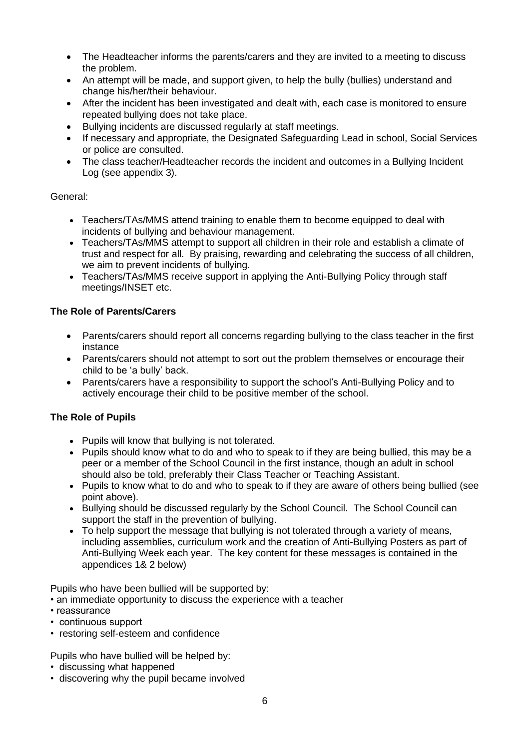- The Headteacher informs the parents/carers and they are invited to a meeting to discuss the problem.
- An attempt will be made, and support given, to help the bully (bullies) understand and change his/her/their behaviour.
- After the incident has been investigated and dealt with, each case is monitored to ensure repeated bullying does not take place.
- Bullying incidents are discussed regularly at staff meetings.
- If necessary and appropriate, the Designated Safeguarding Lead in school, Social Services or police are consulted.
- The class teacher/Headteacher records the incident and outcomes in a Bullying Incident Log (see appendix 3).

# General:

- Teachers/TAs/MMS attend training to enable them to become equipped to deal with incidents of bullying and behaviour management.
- Teachers/TAs/MMS attempt to support all children in their role and establish a climate of trust and respect for all. By praising, rewarding and celebrating the success of all children, we aim to prevent incidents of bullying.
- Teachers/TAs/MMS receive support in applying the Anti-Bullying Policy through staff meetings/INSET etc.

# **The Role of Parents/Carers**

- Parents/carers should report all concerns regarding bullying to the class teacher in the first instance
- Parents/carers should not attempt to sort out the problem themselves or encourage their child to be 'a bully' back.
- Parents/carers have a responsibility to support the school's Anti-Bullying Policy and to actively encourage their child to be positive member of the school.

# **The Role of Pupils**

- Pupils will know that bullying is not tolerated.
- Pupils should know what to do and who to speak to if they are being bullied, this may be a peer or a member of the School Council in the first instance, though an adult in school should also be told, preferably their Class Teacher or Teaching Assistant.
- Pupils to know what to do and who to speak to if they are aware of others being bullied (see point above).
- Bullying should be discussed regularly by the School Council. The School Council can support the staff in the prevention of bullying.
- To help support the message that bullying is not tolerated through a variety of means, including assemblies, curriculum work and the creation of Anti-Bullying Posters as part of Anti-Bullying Week each year. The key content for these messages is contained in the appendices 1& 2 below)

Pupils who have been bullied will be supported by:

- an immediate opportunity to discuss the experience with a teacher
- reassurance
- continuous support
- restoring self-esteem and confidence
- Pupils who have bullied will be helped by:
- discussing what happened
- discovering why the pupil became involved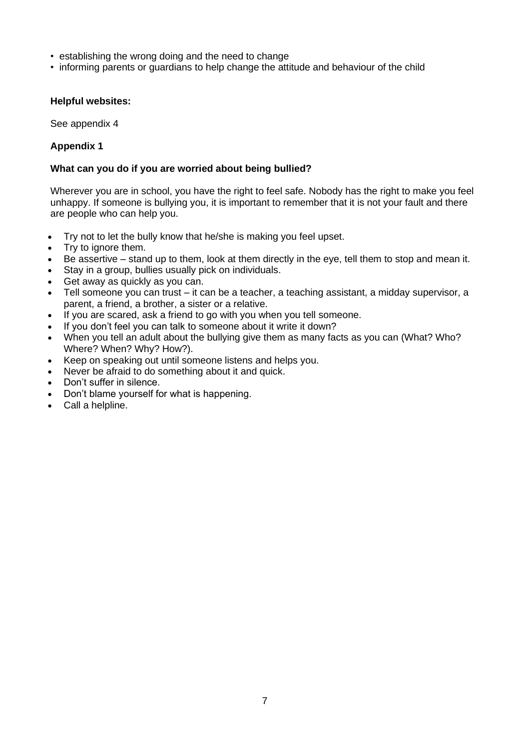- establishing the wrong doing and the need to change
- informing parents or guardians to help change the attitude and behaviour of the child

#### **Helpful websites:**

See appendix 4

#### **Appendix 1**

#### **What can you do if you are worried about being bullied?**

Wherever you are in school, you have the right to feel safe. Nobody has the right to make you feel unhappy. If someone is bullying you, it is important to remember that it is not your fault and there are people who can help you.

- Try not to let the bully know that he/she is making you feel upset.
- Try to ignore them.
- Be assertive stand up to them, look at them directly in the eye, tell them to stop and mean it.
- Stay in a group, bullies usually pick on individuals.
- Get away as quickly as you can.
- Tell someone you can trust it can be a teacher, a teaching assistant, a midday supervisor, a parent, a friend, a brother, a sister or a relative.
- If you are scared, ask a friend to go with you when you tell someone.
- If you don't feel you can talk to someone about it write it down?
- When you tell an adult about the bullying give them as many facts as you can (What? Who? Where? When? Why? How?).
- Keep on speaking out until someone listens and helps you.
- Never be afraid to do something about it and quick.
- Don't suffer in silence.
- Don't blame yourself for what is happening.
- Call a helpline.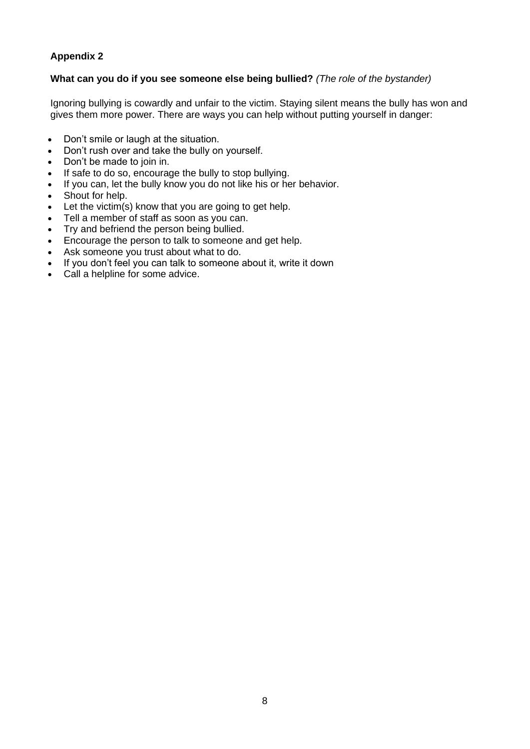# **Appendix 2**

#### **What can you do if you see someone else being bullied?** *(The role of the bystander)*

Ignoring bullying is cowardly and unfair to the victim. Staying silent means the bully has won and gives them more power. There are ways you can help without putting yourself in danger:

- Don't smile or laugh at the situation.
- Don't rush over and take the bully on yourself.
- Don't be made to join in.
- If safe to do so, encourage the bully to stop bullying.
- If you can, let the bully know you do not like his or her behavior.
- Shout for help.
- Let the victim(s) know that you are going to get help.
- Tell a member of staff as soon as you can.
- Try and befriend the person being bullied.
- Encourage the person to talk to someone and get help.
- Ask someone you trust about what to do.
- If you don't feel you can talk to someone about it, write it down
- Call a helpline for some advice.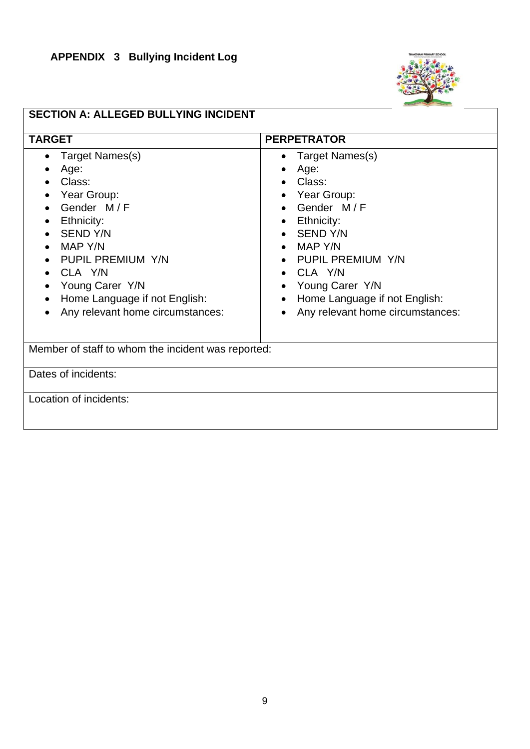# **APPENDIX 3 Bullying Incident Log**



# **SECTION A: ALLEGED BULLYING INCIDENT**

| <b>TARGET</b>                                                                                                                                                                                                                                  | <b>PERPETRATOR</b>                                                                                                                                                                                                                 |  |  |  |  |  |
|------------------------------------------------------------------------------------------------------------------------------------------------------------------------------------------------------------------------------------------------|------------------------------------------------------------------------------------------------------------------------------------------------------------------------------------------------------------------------------------|--|--|--|--|--|
| <b>Target Names(s)</b><br>Age:<br>Class:<br>Year Group:<br>Gender M/F<br>Ethnicity:<br><b>SEND Y/N</b><br>MAP Y/N<br>PUPIL PREMIUM Y/N<br>CLA Y/N<br>Young Carer Y/N<br>Home Language if not English:<br>٠<br>Any relevant home circumstances: | Target Names(s)<br>Age:<br>Class:<br>Year Group:<br>Gender M/F<br>Ethnicity:<br>• SEND Y/N<br>MAP Y/N<br>PUPIL PREMIUM Y/N<br>CLA Y/N<br>Young Carer Y/N<br>Home Language if not English:<br>٠<br>Any relevant home circumstances: |  |  |  |  |  |
| Member of staff to whom the incident was reported:                                                                                                                                                                                             |                                                                                                                                                                                                                                    |  |  |  |  |  |
|                                                                                                                                                                                                                                                |                                                                                                                                                                                                                                    |  |  |  |  |  |
| Dates of incidents:                                                                                                                                                                                                                            |                                                                                                                                                                                                                                    |  |  |  |  |  |
| Location of incidents:                                                                                                                                                                                                                         |                                                                                                                                                                                                                                    |  |  |  |  |  |